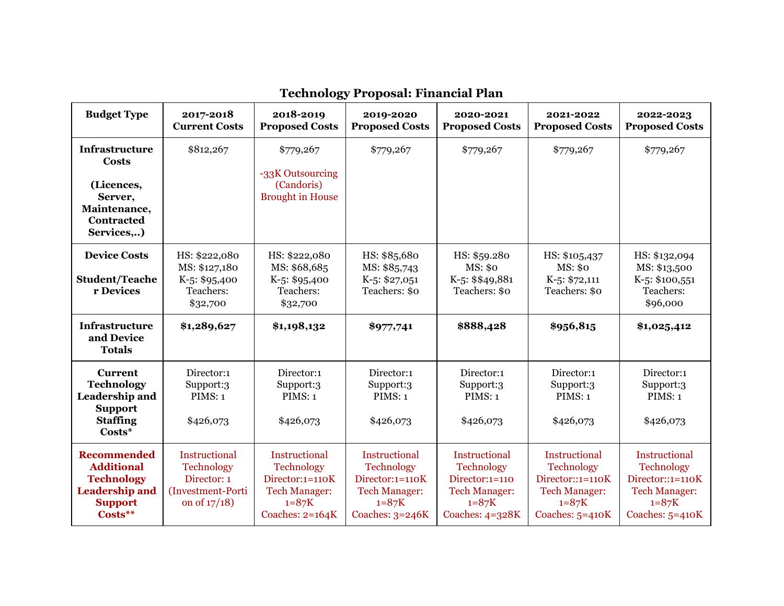| <b>Budget Type</b>                                                                                                 | 2017-2018<br><b>Current Costs</b>                                                  | 2018-2019<br><b>Proposed Costs</b>                                                                                     | 2019-2020<br><b>Proposed Costs</b>                                                                              | 2020-2021<br><b>Proposed Costs</b>                                                                         | 2021-2022<br><b>Proposed Costs</b>                                                                                      | 2022-2023<br><b>Proposed Costs</b>                                                                               |
|--------------------------------------------------------------------------------------------------------------------|------------------------------------------------------------------------------------|------------------------------------------------------------------------------------------------------------------------|-----------------------------------------------------------------------------------------------------------------|------------------------------------------------------------------------------------------------------------|-------------------------------------------------------------------------------------------------------------------------|------------------------------------------------------------------------------------------------------------------|
| <b>Infrastructure</b><br><b>Costs</b><br>(Licences,<br>Server,<br>Maintenance,<br><b>Contracted</b><br>Services)   | \$812,267                                                                          | \$779,267<br>-33K Outsourcing<br>(Candoris)<br><b>Brought in House</b>                                                 | \$779,267                                                                                                       | \$779,267                                                                                                  | \$779,267                                                                                                               | \$779,267                                                                                                        |
| <b>Device Costs</b><br><b>Student/Teache</b><br>r Devices                                                          | HS: \$222,080<br>MS: \$127,180<br>$K-5: $95,400$<br>Teachers:<br>\$32,700          | HS: \$222,080<br>MS: \$68,685<br>$K-5: $95,400$<br>Teachers:<br>\$32,700                                               | HS: \$85,680<br>MS: \$85,743<br>$K-5: $27,051$<br>Teachers: \$0                                                 | HS: \$59.280<br>MS: \$0<br>K-5: \$\$49,881<br>Teachers: \$0                                                | HS: \$105,437<br>MS: \$0<br>$K-5: $72,111$<br>Teachers: \$0                                                             | HS: \$132,094<br>MS: \$13,500<br>K-5: \$100,551<br>Teachers:<br>\$96,000                                         |
| <b>Infrastructure</b><br>and Device<br><b>Totals</b>                                                               | \$1,289,627                                                                        | \$1,198,132                                                                                                            | \$977,741                                                                                                       | \$888,428                                                                                                  | \$956,815                                                                                                               | \$1,025,412                                                                                                      |
| <b>Current</b><br><b>Technology</b><br>Leadership and<br><b>Support</b><br><b>Staffing</b><br>$Costs*$             | Director:1<br>Support:3<br>PIMS: 1<br>\$426,073                                    | Director:1<br>Support:3<br>PIMS: 1<br>\$426,073                                                                        | Director:1<br>Support:3<br>PIMS: 1<br>\$426,073                                                                 | Director:1<br>Support:3<br>PIMS: 1<br>\$426,073                                                            | Director:1<br>Support:3<br>PIMS: 1<br>\$426,073                                                                         | Director:1<br>Support:3<br>PIMS: 1<br>\$426,073                                                                  |
| <b>Recommended</b><br><b>Additional</b><br><b>Technology</b><br><b>Leadership and</b><br><b>Support</b><br>Costs** | Instructional<br>Technology<br>Director: 1<br>(Investment-Porti<br>on of $17/18$ ) | <b>Instructional</b><br><b>Technology</b><br>Director:1=110K<br><b>Tech Manager:</b><br>$1 = 87K$<br>Coaches: $2=164K$ | Instructional<br><b>Technology</b><br>Director:1=110K<br><b>Tech Manager:</b><br>$1 = 87K$<br>Coaches: $3=246K$ | Instructional<br>Technology<br>$Directory:1=110$<br><b>Tech Manager:</b><br>$1 = 87K$<br>Coaches: $4=328K$ | <b>Instructional</b><br><b>Technology</b><br>Director::1=110K<br><b>Tech Manager:</b><br>$1 = 87K$<br>Coaches: $5=410K$ | Instructional<br><b>Technology</b><br>Director::1=110K<br><b>Tech Manager:</b><br>$1 = 87K$<br>Coaches: $5=410K$ |

## **Technology Proposal: Financial Plan**